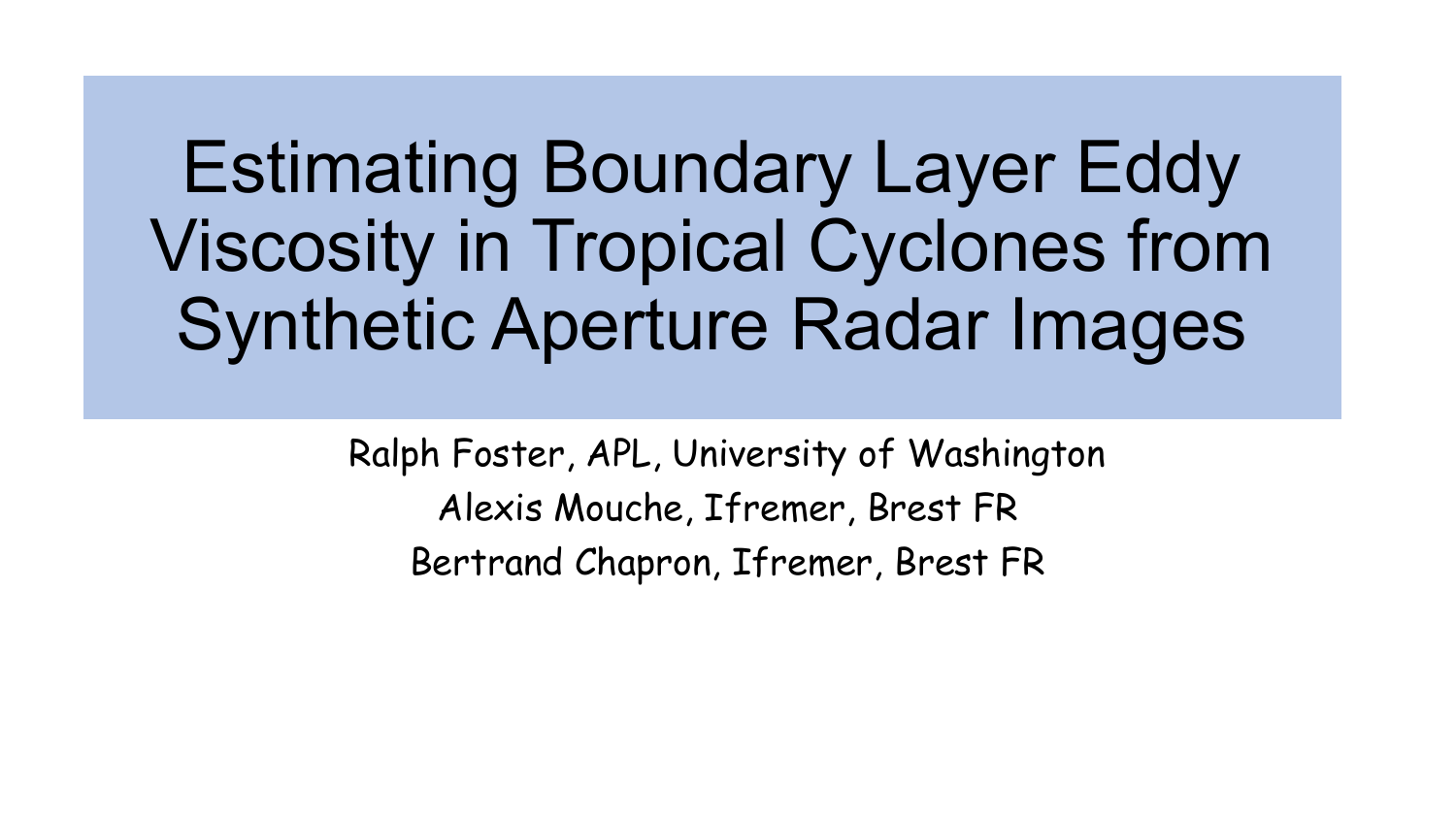# Estimating Boundary Layer Eddy Viscosity in Tropical Cyclones from Synthetic Aperture Radar Images

Ralph Foster, APL, University of Washington Alexis Mouche, Ifremer, Brest FR Bertrand Chapron, Ifremer, Brest FR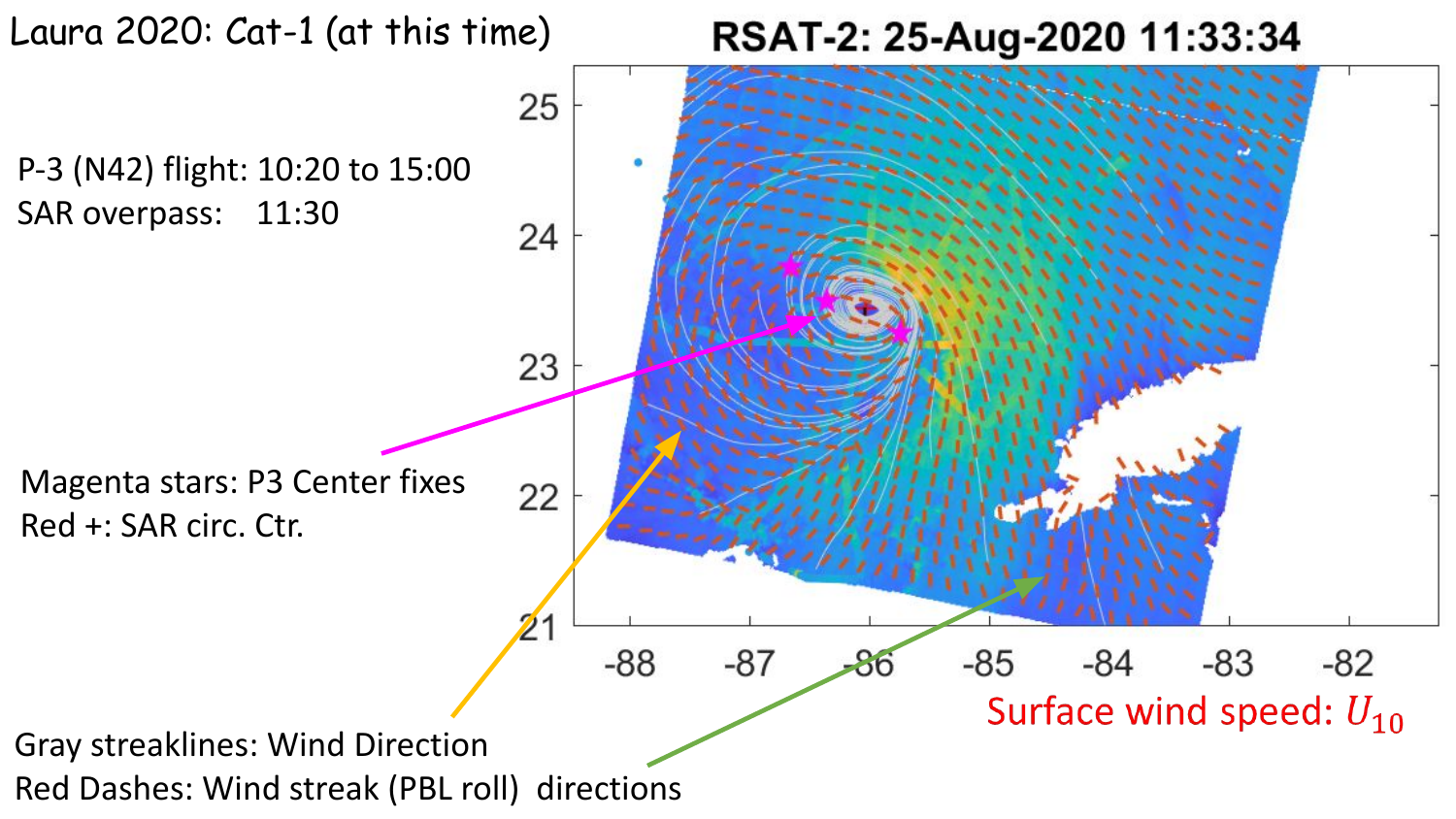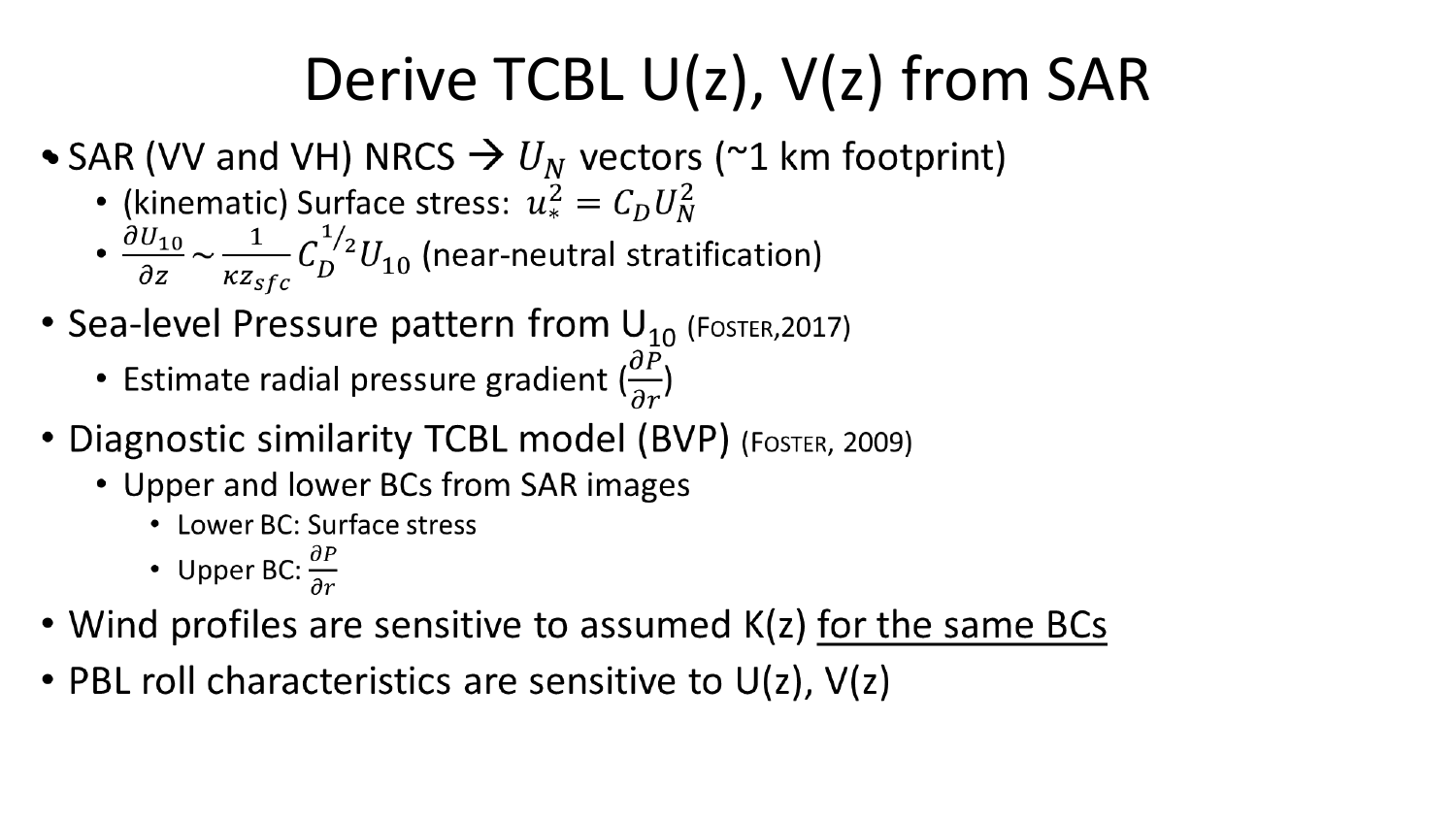### Derive TCBL U(z), V(z) from SAR

- SAR (VV and VH) NRCS  $\rightarrow$   $U_N$  vectors (~1 km footprint)
	- (kinematic) Surface stress:  $u_*^2 = C_D U_N^2$
	- $\cdot \frac{\partial U_{10}}{\partial z} \sim \frac{1}{\kappa z_{sfc}} C_D^{1/2} U_{10}$  (near-neutral stratification)
- Sea-level Pressure pattern from  $U_{10}$  (Foster, 2017)
	- Estimate radial pressure gradient  $\left(\frac{\partial P}{\partial r}\right)$
- Diagnostic similarity TCBL model (BVP) (FOSTER, 2009)
	- Upper and lower BCs from SAR images
		- Lower BC: Surface stress
		- Upper BC:  $\frac{\partial P}{\partial x}$
- Wind profiles are sensitive to assumed K(z) for the same BCs
- PBL roll characteristics are sensitive to  $U(z)$ ,  $V(z)$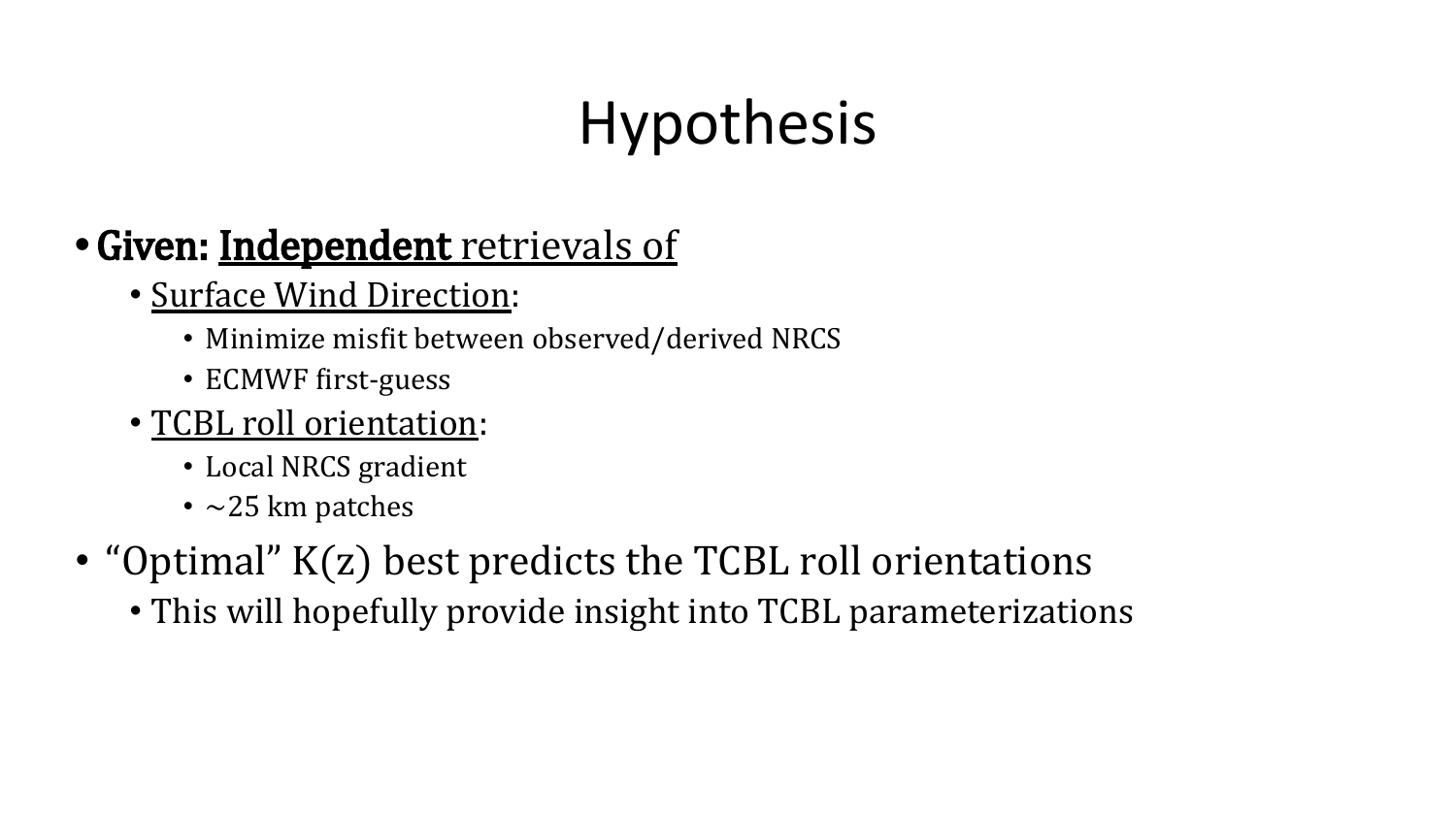## Hypothesis

### **•**Given: Independent retrievals of

- Surface Wind Direction:
	- Minimize misfit between observed/derived NRCS
	- ECMWF first-guess
- TCBL roll orientation:
	- Local NRCS gradient
	- $\sim$ 25 km patches
- "Optimal" K(z) best predicts the TCBL roll orientations
	- This will hopefully provide insight into TCBL parameterizations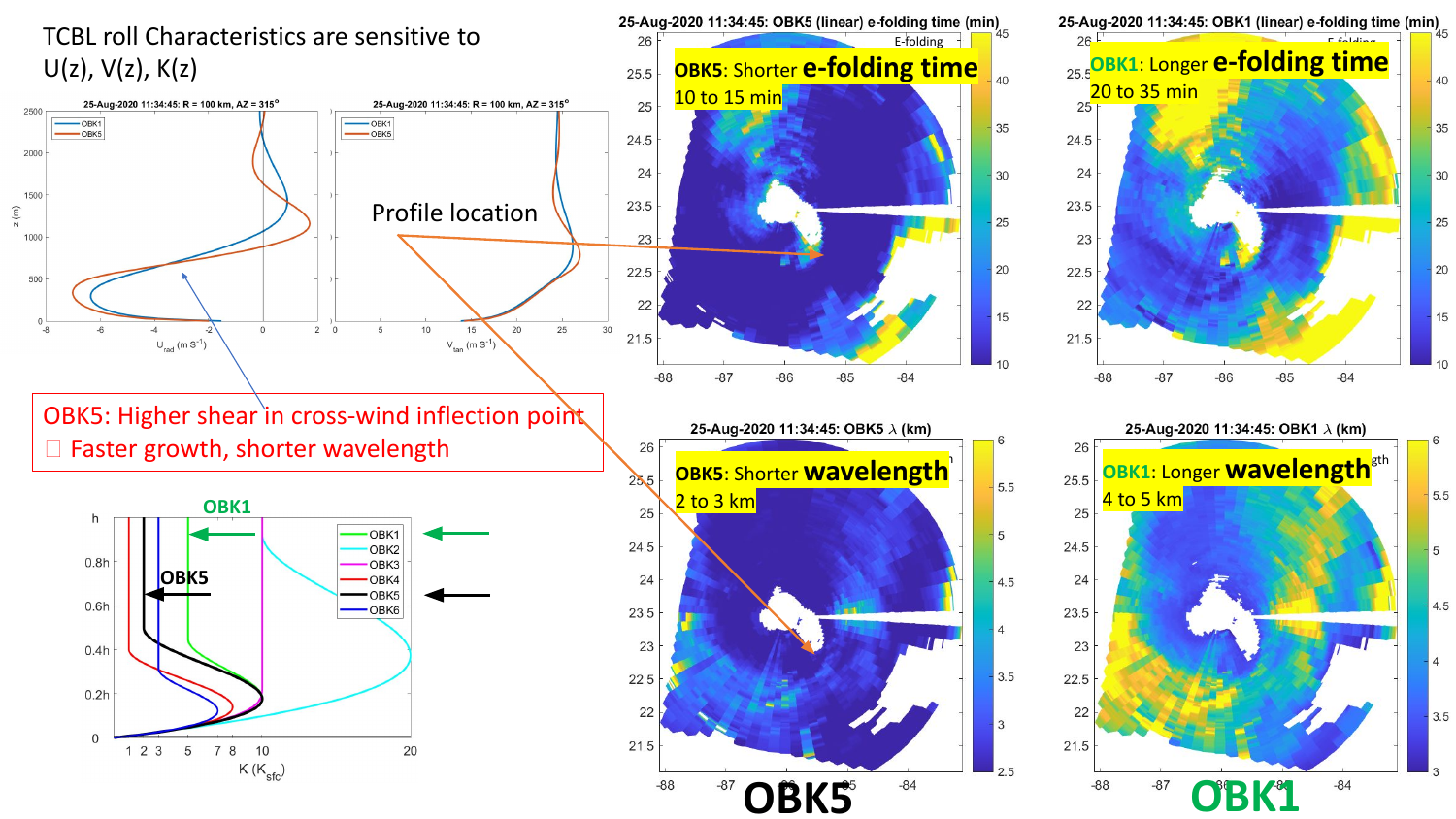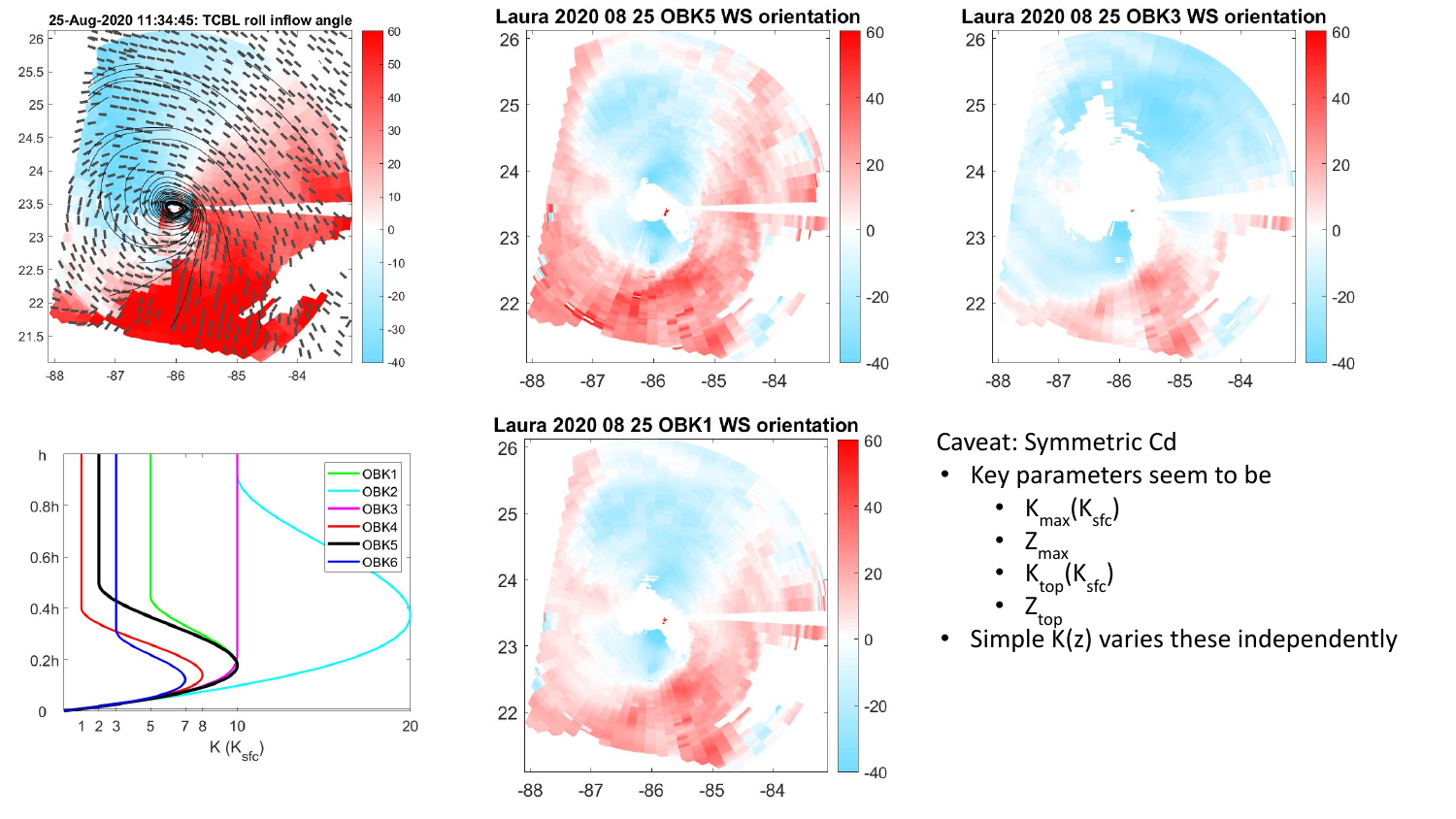





 $-85$ 

 $-84$ 

 $-86$ 

22

 $-88$ 

 $-87$ 



#### Caveat: Symmetric Cd

• Key parameters seem to be

• 
$$
K_{\text{max}}(K_{\text{sfc}})
$$

$$
\bullet \quad Z_{\text{max}}
$$

• 
$$
K_{top}(K_{sfc})
$$

$$
\bullet \quad Z_{\text{top}}^{\text{top}}
$$

 $-20$ 

 $-40$ 

• Simple K(z) varies these independently